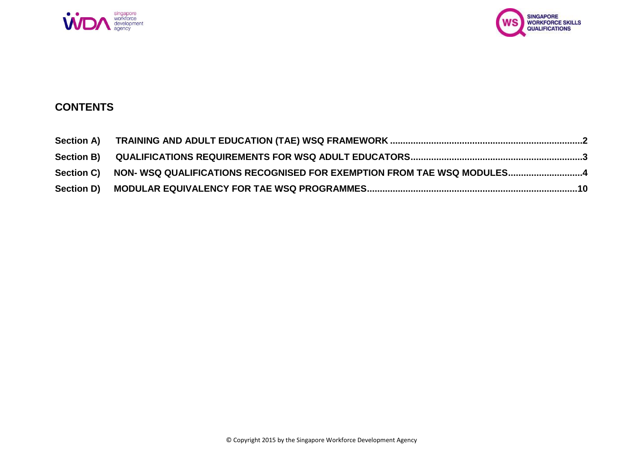



# **CONTENTS**

| Section C) NON-WSQ QUALIFICATIONS RECOGNISED FOR EXEMPTION FROM TAE WSQ MODULES4 |  |
|----------------------------------------------------------------------------------|--|
|                                                                                  |  |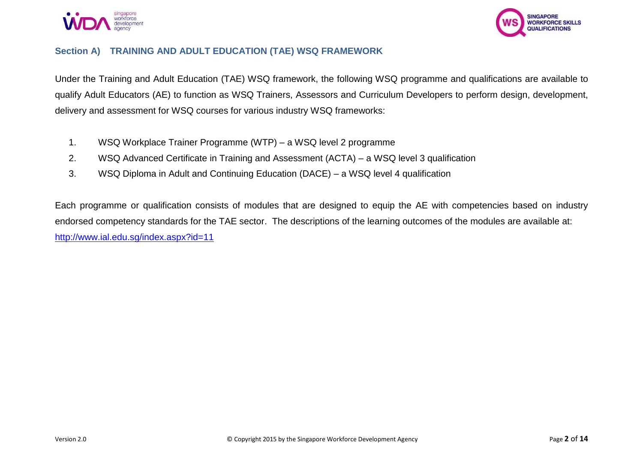



#### <span id="page-1-0"></span>**Section A) TRAINING AND ADULT EDUCATION (TAE) WSQ FRAMEWORK**

Under the Training and Adult Education (TAE) WSQ framework, the following WSQ programme and qualifications are available to qualify Adult Educators (AE) to function as WSQ Trainers, Assessors and Curriculum Developers to perform design, development, delivery and assessment for WSQ courses for various industry WSQ frameworks:

- 1. WSQ Workplace Trainer Programme (WTP) a WSQ level 2 programme
- 2. WSQ Advanced Certificate in Training and Assessment (ACTA) a WSQ level 3 qualification
- 3. WSQ Diploma in Adult and Continuing Education (DACE) a WSQ level 4 qualification

Each programme or qualification consists of modules that are designed to equip the AE with competencies based on industry endorsed competency standards for the TAE sector. The descriptions of the learning outcomes of the modules are available at: <http://www.ial.edu.sg/index.aspx?id=11>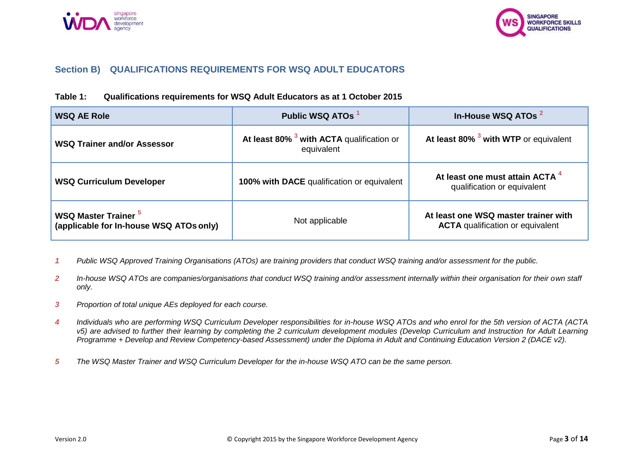



#### <span id="page-2-0"></span>**Section B) QUALIFICATIONS REQUIREMENTS FOR WSQ ADULT EDUCATORS**

#### **Table 1: Qualifications requirements for WSQ Adult Educators as at 1 October 2015**

| <b>WSQ AE Role</b>                                                     | Public WSQ ATOs                                                    | In-House WSQ ATOs <sup>2</sup>                                                  |  |
|------------------------------------------------------------------------|--------------------------------------------------------------------|---------------------------------------------------------------------------------|--|
| <b>WSQ Trainer and/or Assessor</b>                                     | At least 80% <sup>3</sup> with ACTA qualification or<br>equivalent | At least 80% <sup>3</sup> with WTP or equivalent                                |  |
| <b>WSQ Curriculum Developer</b>                                        | 100% with DACE qualification or equivalent                         | At least one must attain ACTA <sup>4</sup><br>qualification or equivalent       |  |
| <b>WSQ Master Trainer 5</b><br>(applicable for In-house WSQ ATOs only) | Not applicable                                                     | At least one WSQ master trainer with<br><b>ACTA</b> qualification or equivalent |  |

- *1 Public WSQ Approved Training Organisations (ATOs) are training providers that conduct WSQ training and/or assessment for the public.*
- *2 In-house WSQ ATOs are companies/organisations that conduct WSQ training and/or assessment internally within their organisation for their own staff only.*
- *3 Proportion of total unique AEs deployed for each course.*
- *4 Individuals who are performing WSQ Curriculum Developer responsibilities for in-house WSQ ATOs and who enrol for the 5th version of ACTA (ACTA v5)* are advised to further their learning by completing the 2 curriculum development modules (Develop Curriculum and Instruction for Adult Learning *Programme + Develop and Review Competency-based Assessment) under the Diploma in Adult and Continuing Education Version 2 (DACE v2).*
- *5 The WSQ Master Trainer and WSQ Curriculum Developer for the in-house WSQ ATO can be the same person.*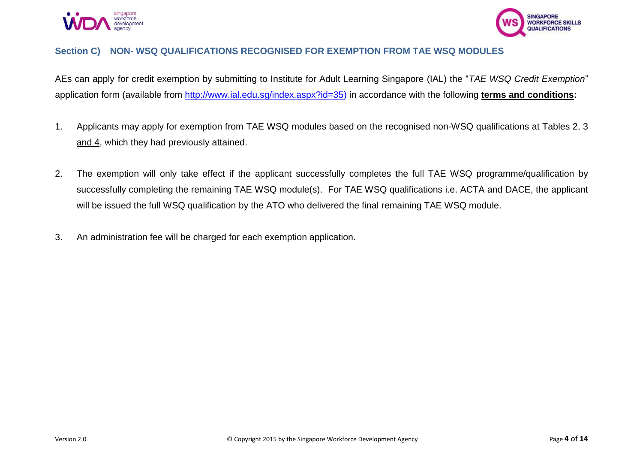



#### <span id="page-3-0"></span>**Section C) NON- WSQ QUALIFICATIONS RECOGNISED FOR EXEMPTION FROM TAE WSQ MODULES**

AEs can apply for credit exemption by submitting to Institute for Adult Learning Singapore (IAL) the "*TAE WSQ Credit Exemption*" application form (available from [http://www.ial.edu.sg/index.aspx?id=35\)](http://www.ial.edu.sg/index.aspx?id=35) in accordance with the following **terms and conditions:** 

- 1. Applicants may apply for exemption from TAE WSQ modules based on the recognised non-WSQ qualifications at Tables 2, 3 and 4, which they had previously attained.
- 2. The exemption will only take effect if the applicant successfully completes the full TAE WSQ programme/qualification by successfully completing the remaining TAE WSQ module(s). For TAE WSQ qualifications i.e. ACTA and DACE, the applicant will be issued the full WSQ qualification by the ATO who delivered the final remaining TAE WSQ module.
- 3. An administration fee will be charged for each exemption application.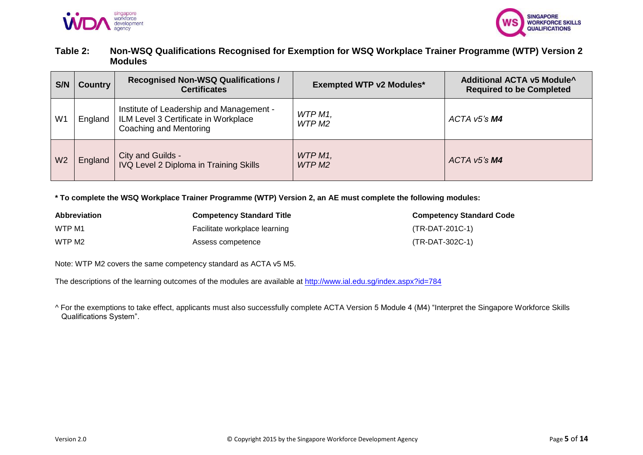



### **Table 2: Non-WSQ Qualifications Recognised for Exemption for WSQ Workplace Trainer Programme (WTP) Version 2 Modules**

| S/N            | <b>Country</b> | <b>Recognised Non-WSQ Qualifications /</b><br><b>Certificates</b>                                          | <b>Exempted WTP v2 Modules*</b> | <b>Additional ACTA v5 Module^</b><br><b>Required to be Completed</b> |
|----------------|----------------|------------------------------------------------------------------------------------------------------------|---------------------------------|----------------------------------------------------------------------|
| W <sub>1</sub> | England        | Institute of Leadership and Management -<br>ILM Level 3 Certificate in Workplace<br>Coaching and Mentoring | WTP M1.<br>WTP M2               | $ACTA$ v5's $M4$                                                     |
| W <sub>2</sub> | England        | City and Guilds -<br><b>IVQ Level 2 Diploma in Training Skills</b>                                         | WTP M1,<br>WTP M <sub>2</sub>   | $ACTA$ v5's $M4$                                                     |

**\* To complete the WSQ Workplace Trainer Programme (WTP) Version 2, an AE must complete the following modules:**

| <b>Abbreviation</b> | <b>Competency Standard Title</b> | <b>Competency Standard Code</b> |
|---------------------|----------------------------------|---------------------------------|
| WTP M1              | Facilitate workplace learning    | (TR-DAT-201C-1)                 |
| WTP M2              | Assess competence                | (TR-DAT-302C-1)                 |

Note: WTP M2 covers the same competency standard as ACTA v5 M5.

The descriptions of the learning outcomes of the modules are available at <http://www.ial.edu.sg/index.aspx?id=784>

*^* For the exemptions to take effect, applicants must also successfully complete ACTA Version 5 Module 4 (M4) "Interpret the Singapore Workforce Skills Qualifications System".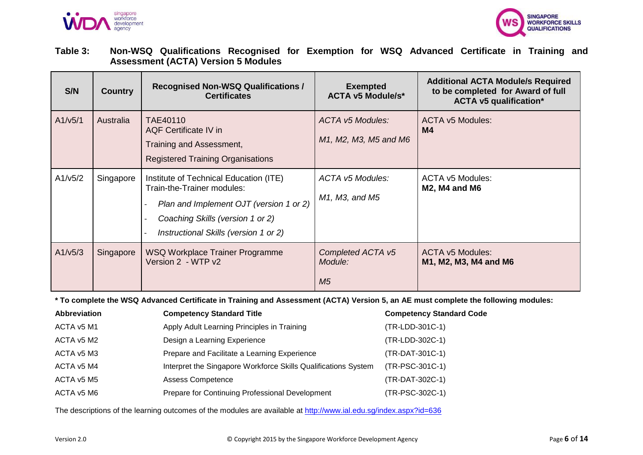



**Table 3: Non-WSQ Qualifications Recognised for Exemption for WSQ Advanced Certificate in Training and Assessment (ACTA) Version 5 Modules**

| S/N     | <b>Country</b> | <b>Recognised Non-WSQ Qualifications /</b><br><b>Certificates</b>                                                                                                                            | <b>Exempted</b><br><b>ACTA v5 Module/s*</b>      | <b>Additional ACTA Module/s Required</b><br>to be completed for Award of full<br><b>ACTA v5 qualification*</b> |
|---------|----------------|----------------------------------------------------------------------------------------------------------------------------------------------------------------------------------------------|--------------------------------------------------|----------------------------------------------------------------------------------------------------------------|
| A1/v5/1 | Australia      | TAE40110<br><b>AQF Certificate IV in</b><br>Training and Assessment,<br><b>Registered Training Organisations</b>                                                                             | <b>ACTA v5 Modules:</b><br>M1, M2, M3, M5 and M6 | <b>ACTA v5 Modules:</b><br>M4                                                                                  |
| A1/v5/2 | Singapore      | Institute of Technical Education (ITE)<br>Train-the-Trainer modules:<br>Plan and Implement OJT (version 1 or 2)<br>Coaching Skills (version 1 or 2)<br>Instructional Skills (version 1 or 2) | ACTA v5 Modules:<br>M1, M3, and M5               | ACTA v5 Modules:<br><b>M2, M4 and M6</b>                                                                       |
| A1/v5/3 | Singapore      | WSQ Workplace Trainer Programme<br>Version 2 - WTP v2                                                                                                                                        | Completed ACTA v5<br>Module:<br>M <sub>5</sub>   | <b>ACTA v5 Modules:</b><br>M1, M2, M3, M4 and M6                                                               |

**\* To complete the WSQ Advanced Certificate in Training and Assessment (ACTA) Version 5, an AE must complete the following modules:**

| <b>Abbreviation</b> | <b>Competency Standard Title</b>                               | <b>Competency Standard Code</b> |
|---------------------|----------------------------------------------------------------|---------------------------------|
| ACTA v5 M1          | Apply Adult Learning Principles in Training                    | (TR-LDD-301C-1)                 |
| ACTA v5 M2          | Design a Learning Experience                                   | (TR-LDD-302C-1)                 |
| ACTA v5 M3          | Prepare and Facilitate a Learning Experience                   | (TR-DAT-301C-1)                 |
| ACTA v5 M4          | Interpret the Singapore Workforce Skills Qualifications System | (TR-PSC-301C-1)                 |
| ACTA v5 M5          | <b>Assess Competence</b>                                       | (TR-DAT-302C-1)                 |
| ACTA v5 M6          | Prepare for Continuing Professional Development                | (TR-PSC-302C-1)                 |

The descriptions of the learning outcomes of the modules are available at <http://www.ial.edu.sg/index.aspx?id=636>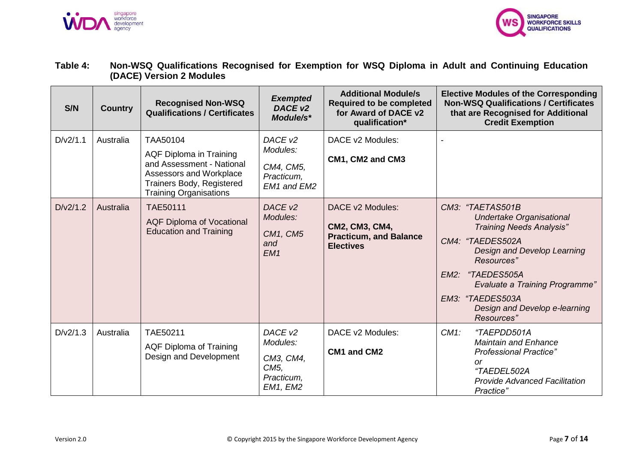



### **Table 4: Non-WSQ Qualifications Recognised for Exemption for WSQ Diploma in Adult and Continuing Education (DACE) Version 2 Modules**

| S/N      | <b>Country</b> | <b>Recognised Non-WSQ</b><br><b>Qualifications / Certificates</b>                                                                                         | <b>Exempted</b><br>DACE <sub>v2</sub><br>Module/s*                                         | <b>Additional Module/s</b><br><b>Required to be completed</b><br>for Award of DACE v2<br>qualification* | <b>Elective Modules of the Corresponding</b><br><b>Non-WSQ Qualifications / Certificates</b><br>that are Recognised for Additional<br><b>Credit Exemption</b>                                                                                                                              |
|----------|----------------|-----------------------------------------------------------------------------------------------------------------------------------------------------------|--------------------------------------------------------------------------------------------|---------------------------------------------------------------------------------------------------------|--------------------------------------------------------------------------------------------------------------------------------------------------------------------------------------------------------------------------------------------------------------------------------------------|
| D/v2/1.1 | Australia      | TAA50104<br>AQF Diploma in Training<br>and Assessment - National<br>Assessors and Workplace<br>Trainers Body, Registered<br><b>Training Organisations</b> | DACE <sub>v2</sub><br>Modules:<br>CM4, CM5,<br>Practicum,<br>EM1 and EM2                   | DACE v2 Modules:<br>CM1, CM2 and CM3                                                                    |                                                                                                                                                                                                                                                                                            |
| D/v2/1.2 | Australia      | <b>TAE50111</b><br><b>AQF Diploma of Vocational</b><br><b>Education and Training</b>                                                                      | DACE <sub>v2</sub><br>Modules:<br>CM1, CM5<br>and<br>EM <sub>1</sub>                       | DACE v2 Modules:<br>CM2, CM3, CM4,<br><b>Practicum, and Balance</b><br><b>Electives</b>                 | CM3: "TAETAS501B<br><b>Undertake Organisational</b><br><b>Training Needs Analysis"</b><br>CM4: "TAEDES502A<br>Design and Develop Learning<br>Resources"<br>"TAEDES505A<br>EM2:<br><b>Evaluate a Training Programme"</b><br>EM3: "TAEDES503A<br>Design and Develop e-learning<br>Resources" |
| D/v2/1.3 | Australia      | TAE50211<br>AQF Diploma of Training<br>Design and Development                                                                                             | DACE <sub>v2</sub><br>Modules:<br>CM3, CM4,<br>CM <sub>5</sub> ,<br>Practicum,<br>EM1, EM2 | DACE v2 Modules:<br>CM1 and CM2                                                                         | $CM1$ :<br>"TAEPDD501A<br><b>Maintain and Enhance</b><br><b>Professional Practice"</b><br><sub>or</sub><br>"TAEDEL502A<br><b>Provide Advanced Facilitation</b><br>Practice"                                                                                                                |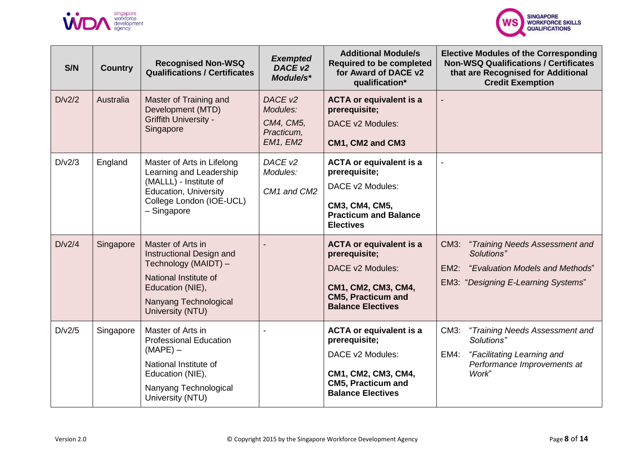



| S/N    | <b>Country</b> | <b>Recognised Non-WSQ</b><br><b>Qualifications / Certificates</b>                                                                                               | <b>Exempted</b><br>DACE v2<br>Module/s*                    | <b>Additional Module/s</b><br><b>Required to be completed</b><br>for Award of DACE v2<br>qualification*                                             | <b>Elective Modules of the Corresponding</b><br><b>Non-WSQ Qualifications / Certificates</b><br>that are Recognised for Additional<br><b>Credit Exemption</b> |
|--------|----------------|-----------------------------------------------------------------------------------------------------------------------------------------------------------------|------------------------------------------------------------|-----------------------------------------------------------------------------------------------------------------------------------------------------|---------------------------------------------------------------------------------------------------------------------------------------------------------------|
| D/v2/2 | Australia      | Master of Training and<br>Development (MTD)<br><b>Griffith University -</b><br>Singapore                                                                        | DACE v2<br>Modules:<br>CM4, CM5,<br>Practicum,<br>EM1, EM2 | <b>ACTA or equivalent is a</b><br>prerequisite;<br>DACE v2 Modules:<br>CM1, CM2 and CM3                                                             |                                                                                                                                                               |
| D/v2/3 | England        | Master of Arts in Lifelong<br>Learning and Leadership<br>(MALLL) - Institute of<br><b>Education, University</b><br>College London (IOE-UCL)<br>- Singapore      | DACE <sub>v2</sub><br>Modules:<br>CM1 and CM2              | <b>ACTA or equivalent is a</b><br>prerequisite;<br>DACE v2 Modules:<br>CM3, CM4, CM5,<br><b>Practicum and Balance</b><br><b>Electives</b>           |                                                                                                                                                               |
| D/v2/4 | Singapore      | Master of Arts in<br>Instructional Design and<br>Technology (MAIDT) -<br>National Institute of<br>Education (NIE),<br>Nanyang Technological<br>University (NTU) |                                                            | <b>ACTA or equivalent is a</b><br>prerequisite;<br>DACE v2 Modules:<br>CM1, CM2, CM3, CM4,<br><b>CM5, Practicum and</b><br><b>Balance Electives</b> | CM3:<br>"Training Needs Assessment and<br>Solutions"<br>$EM2$ :<br>"Evaluation Models and Methods"<br><b>EM3: "Designing E-Learning Systems"</b>              |
| D/v2/5 | Singapore      | Master of Arts in<br><b>Professional Education</b><br>$(MAPE) -$<br>National Institute of<br>Education (NIE),<br>Nanyang Technological<br>University (NTU)      |                                                            | <b>ACTA or equivalent is a</b><br>prerequisite;<br>DACE v2 Modules:<br>CM1, CM2, CM3, CM4,<br><b>CM5, Practicum and</b><br><b>Balance Electives</b> | CM3:<br>"Training Needs Assessment and<br>Solutions"<br>$EM4$ :<br>"Facilitating Learning and<br>Performance Improvements at<br>Work"                         |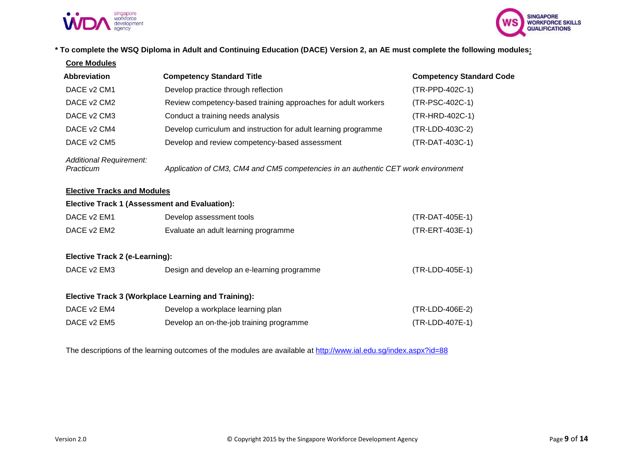



#### **\* To complete the WSQ Diploma in Adult and Continuing Education (DACE) Version 2, an AE must complete the following modules:**

| <b>Core Modules</b>                                 |                                                                                   |                                 |
|-----------------------------------------------------|-----------------------------------------------------------------------------------|---------------------------------|
| <b>Abbreviation</b>                                 | <b>Competency Standard Title</b>                                                  | <b>Competency Standard Code</b> |
| DACE v2 CM1                                         | Develop practice through reflection                                               | (TR-PPD-402C-1)                 |
| DACE v2 CM2                                         | Review competency-based training approaches for adult workers                     | (TR-PSC-402C-1)                 |
| DACE v2 CM3                                         | Conduct a training needs analysis                                                 | (TR-HRD-402C-1)                 |
| DACE v2 CM4                                         | Develop curriculum and instruction for adult learning programme                   | (TR-LDD-403C-2)                 |
| DACE v <sub>2</sub> CM <sub>5</sub>                 | Develop and review competency-based assessment                                    | (TR-DAT-403C-1)                 |
| Additional Requirement:<br>Practicum                | Application of CM3, CM4 and CM5 competencies in an authentic CET work environment |                                 |
| <b>Elective Tracks and Modules</b>                  |                                                                                   |                                 |
|                                                     | <b>Elective Track 1 (Assessment and Evaluation):</b>                              |                                 |
| DACE v2 EM1                                         | Develop assessment tools                                                          | (TR-DAT-405E-1)                 |
| DACE v2 EM2<br>Evaluate an adult learning programme |                                                                                   | (TR-ERT-403E-1)                 |
| Elective Track 2 (e-Learning):                      |                                                                                   |                                 |
| DACE v2 EM3                                         | Design and develop an e-learning programme                                        | (TR-LDD-405E-1)                 |
|                                                     | <b>Elective Track 3 (Workplace Learning and Training):</b>                        |                                 |
| DACE v2 EM4                                         | Develop a workplace learning plan                                                 | (TR-LDD-406E-2)                 |
| DACE v2 EM5                                         | Develop an on-the-job training programme                                          | (TR-LDD-407E-1)                 |
|                                                     |                                                                                   |                                 |

The descriptions of the learning outcomes of the modules are available at <http://www.ial.edu.sg/index.aspx?id=88>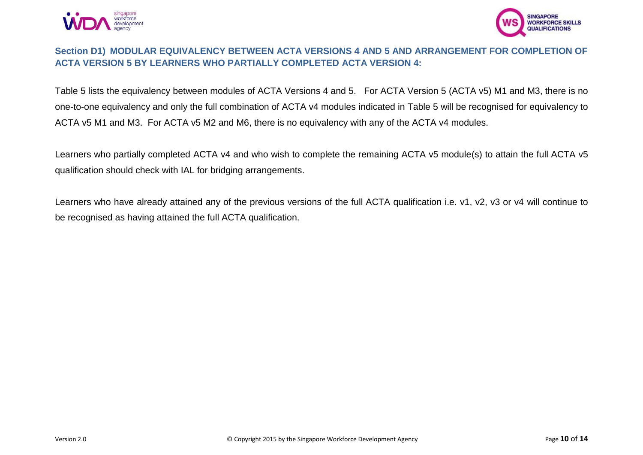



## <span id="page-9-0"></span>**Section D1) MODULAR EQUIVALENCY BETWEEN ACTA VERSIONS 4 AND 5 AND ARRANGEMENT FOR COMPLETION OF ACTA VERSION 5 BY LEARNERS WHO PARTIALLY COMPLETED ACTA VERSION 4:**

Table 5 lists the equivalency between modules of ACTA Versions 4 and 5. For ACTA Version 5 (ACTA v5) M1 and M3, there is no one-to-one equivalency and only the full combination of ACTA v4 modules indicated in Table 5 will be recognised for equivalency to ACTA v5 M1 and M3. For ACTA v5 M2 and M6, there is no equivalency with any of the ACTA v4 modules.

Learners who partially completed ACTA v4 and who wish to complete the remaining ACTA v5 module(s) to attain the full ACTA v5 qualification should check with IAL for bridging arrangements.

Learners who have already attained any of the previous versions of the full ACTA qualification i.e. v1, v2, v3 or v4 will continue to be recognised as having attained the full ACTA qualification.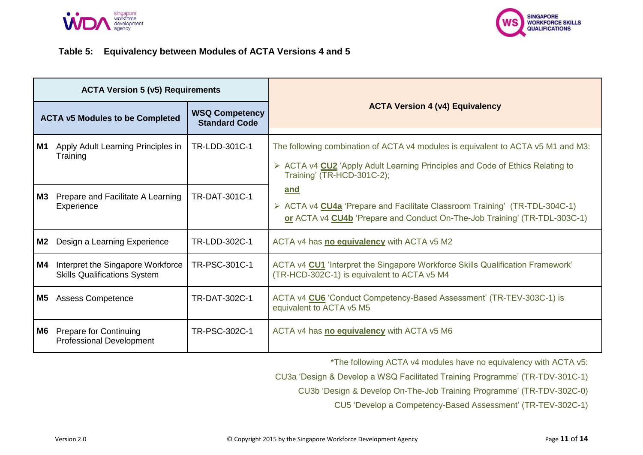



#### **Table 5: Equivalency between Modules of ACTA Versions 4 and 5**

|                                                                                         | <b>ACTA Version 5 (v5) Requirements</b>                                  |               |                                                                                                                                                                                                 |
|-----------------------------------------------------------------------------------------|--------------------------------------------------------------------------|---------------|-------------------------------------------------------------------------------------------------------------------------------------------------------------------------------------------------|
| <b>WSQ Competency</b><br><b>ACTA v5 Modules to be Completed</b><br><b>Standard Code</b> |                                                                          |               | <b>ACTA Version 4 (v4) Equivalency</b>                                                                                                                                                          |
| M1                                                                                      | Apply Adult Learning Principles in<br>Training                           | TR-LDD-301C-1 | The following combination of ACTA v4 modules is equivalent to ACTA v5 M1 and M3:<br>> ACTA v4 CU2 'Apply Adult Learning Principles and Code of Ethics Relating to<br>Training' (TR-HCD-301C-2); |
| M3                                                                                      | Prepare and Facilitate A Learning<br>Experience                          | TR-DAT-301C-1 | and<br>> ACTA v4 CU4a 'Prepare and Facilitate Classroom Training' (TR-TDL-304C-1)<br>or ACTA v4 CU4b 'Prepare and Conduct On-The-Job Training' (TR-TDL-303C-1)                                  |
| M2                                                                                      | Design a Learning Experience                                             | TR-LDD-302C-1 | ACTA v4 has no equivalency with ACTA v5 M2                                                                                                                                                      |
| M4                                                                                      | Interpret the Singapore Workforce<br><b>Skills Qualifications System</b> | TR-PSC-301C-1 | ACTA v4 CU1 'Interpret the Singapore Workforce Skills Qualification Framework'<br>(TR-HCD-302C-1) is equivalent to ACTA v5 M4                                                                   |
| M5                                                                                      | <b>Assess Competence</b>                                                 | TR-DAT-302C-1 | ACTA v4 CU6 'Conduct Competency-Based Assessment' (TR-TEV-303C-1) is<br>equivalent to ACTA v5 M5                                                                                                |
| M6                                                                                      | <b>Prepare for Continuing</b><br><b>Professional Development</b>         | TR-PSC-302C-1 | ACTA v4 has no equivalency with ACTA v5 M6                                                                                                                                                      |

\*The following ACTA v4 modules have no equivalency with ACTA v5:

CU3a 'Design & Develop a WSQ Facilitated Training Programme' (TR-TDV-301C-1)

CU3b 'Design & Develop On-The-Job Training Programme' (TR-TDV-302C-0)

CU5 'Develop a Competency-Based Assessment' (TR-TEV-302C-1)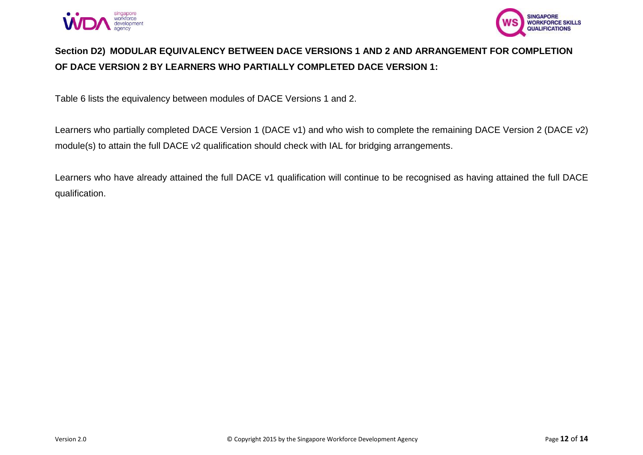



# **Section D2) MODULAR EQUIVALENCY BETWEEN DACE VERSIONS 1 AND 2 AND ARRANGEMENT FOR COMPLETION OF DACE VERSION 2 BY LEARNERS WHO PARTIALLY COMPLETED DACE VERSION 1:**

Table 6 lists the equivalency between modules of DACE Versions 1 and 2.

Learners who partially completed DACE Version 1 (DACE v1) and who wish to complete the remaining DACE Version 2 (DACE v2) module(s) to attain the full DACE v2 qualification should check with IAL for bridging arrangements.

Learners who have already attained the full DACE v1 qualification will continue to be recognised as having attained the full DACE qualification.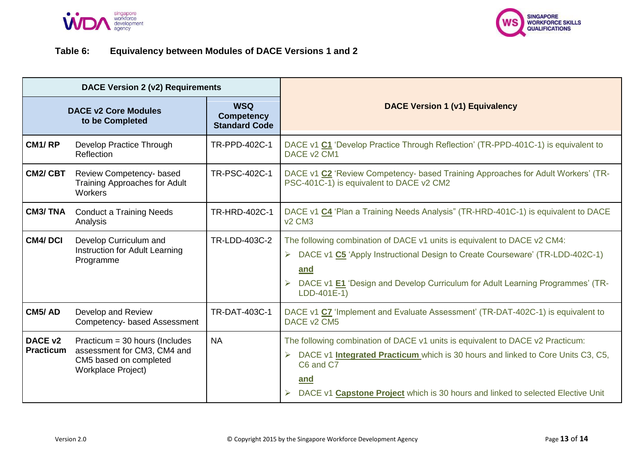



## **Table 6: Equivalency between Modules of DACE Versions 1 and 2**

| DACE Version 2 (v2) Requirements                                                                          |                                                                                                                        |               |                                                                                                                                                                                                                                                                                 |
|-----------------------------------------------------------------------------------------------------------|------------------------------------------------------------------------------------------------------------------------|---------------|---------------------------------------------------------------------------------------------------------------------------------------------------------------------------------------------------------------------------------------------------------------------------------|
| <b>WSQ</b><br><b>DACE v2 Core Modules</b><br><b>Competency</b><br>to be Completed<br><b>Standard Code</b> |                                                                                                                        |               | <b>DACE Version 1 (v1) Equivalency</b>                                                                                                                                                                                                                                          |
| CM <sub>1</sub> /RP                                                                                       | Develop Practice Through<br>Reflection                                                                                 | TR-PPD-402C-1 | DACE v1 C1 'Develop Practice Through Reflection' (TR-PPD-401C-1) is equivalent to<br>DACE v2 CM1                                                                                                                                                                                |
| <b>CM2/CBT</b>                                                                                            | Review Competency- based<br><b>Training Approaches for Adult</b><br><b>Workers</b>                                     | TR-PSC-402C-1 | DACE v1 C2 'Review Competency- based Training Approaches for Adult Workers' (TR-<br>PSC-401C-1) is equivalent to DACE v2 CM2                                                                                                                                                    |
| <b>CM3/TNA</b>                                                                                            | <b>Conduct a Training Needs</b><br>Analysis                                                                            | TR-HRD-402C-1 | DACE v1 C4 'Plan a Training Needs Analysis" (TR-HRD-401C-1) is equivalent to DACE<br>v <sub>2</sub> CM <sub>3</sub>                                                                                                                                                             |
| <b>CM4/DCI</b>                                                                                            | Develop Curriculum and<br>Instruction for Adult Learning<br>Programme                                                  | TR-LDD-403C-2 | The following combination of DACE v1 units is equivalent to DACE v2 CM4:<br>DACE v1 C5 'Apply Instructional Design to Create Courseware' (TR-LDD-402C-1)<br>➤<br>and<br>DACE v1 E1 'Design and Develop Curriculum for Adult Learning Programmes' (TR-<br>$LDD-401E-1)$          |
| CM5/AD                                                                                                    | Develop and Review<br>Competency- based Assessment                                                                     | TR-DAT-403C-1 | DACE v1 C7 'Implement and Evaluate Assessment' (TR-DAT-402C-1) is equivalent to<br>DACE v2 CM5                                                                                                                                                                                  |
| DACE <sub>v2</sub><br><b>Practicum</b>                                                                    | Practicum = $30$ hours (Includes<br>assessment for CM3, CM4 and<br>CM5 based on completed<br><b>Workplace Project)</b> | <b>NA</b>     | The following combination of DACE v1 units is equivalent to DACE v2 Practicum:<br>DACE v1 <b>Integrated Practicum</b> which is 30 hours and linked to Core Units C3, C5,<br>C6 and C7<br>and<br>DACE v1 Capstone Project which is 30 hours and linked to selected Elective Unit |